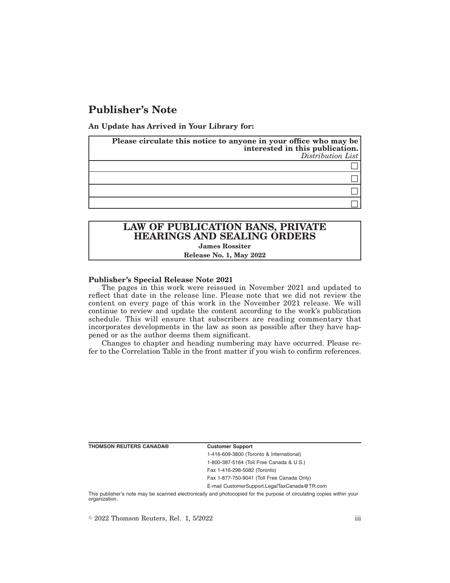# **Publisher's Note**

**An Update has Arrived in Your Library for:**

| Please circulate this notice to anyone in your office who may be<br>interested in this publication.<br>Distribution List |
|--------------------------------------------------------------------------------------------------------------------------|
|                                                                                                                          |
|                                                                                                                          |
|                                                                                                                          |
|                                                                                                                          |

# **LAW OF PUBLICATION BANS, PRIVATE HEARINGS AND SEALING ORDERS James Rossiter**

# **Release No. 1, May 2022**

### **Publisher's Special Release Note 2021**

The pages in this work were reissued in November 2021 and updated to reflect that date in the release line. Please note that we did not review the content on every page of this work in the November 2021 release. We will continue to review and update the content according to the work's publication schedule. This will ensure that subscribers are reading commentary that incorporates developments in the law as soon as possible after they have happened or as the author deems them significant.

Changes to chapter and heading numbering may have occurred. Please refer to the Correlation Table in the front matter if you wish to confirm references.

**THOMSON REUTERS CANADA® Customer Support**

1-416-609-3800 (Toronto & International) 1-800-387-5164 (Toll Free Canada & U.S.) Fax 1-416-298-5082 (Toronto)

Fax 1-877-750-9041 (Toll Free Canada Only)

E-mail CustomerSupport.LegalTaxCanada@TR.com

This publisher's note may be scanned electronically and photocopied for the purpose of circulating copies within your organization.

 $\degree$  2022 Thomson Reuters, Rel. 1, 5/2022 iii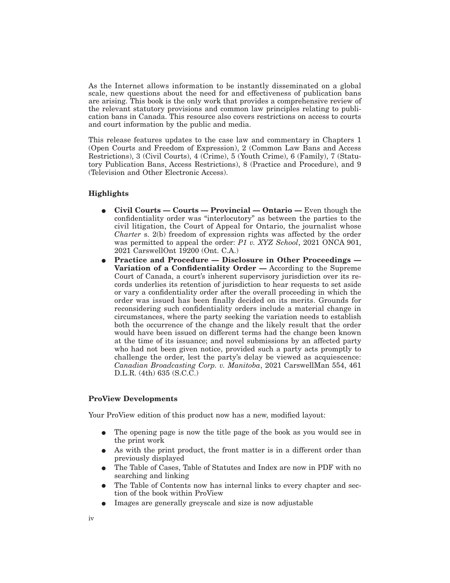As the Internet allows information to be instantly disseminated on a global scale, new questions about the need for and effectiveness of publication bans are arising. This book is the only work that provides a comprehensive review of the relevant statutory provisions and common law principles relating to publication bans in Canada. This resource also covers restrictions on access to courts and court information by the public and media.

This release features updates to the case law and commentary in Chapters 1 (Open Courts and Freedom of Expression), 2 (Common Law Bans and Access Restrictions), 3 (Civil Courts), 4 (Crime), 5 (Youth Crime), 6 (Family), 7 (Statutory Publication Bans, Access Restrictions), 8 (Practice and Procedure), and 9 (Television and Other Electronic Access).

## **Highlights**

- E **Civil Courts Courts Provincial Ontario —** Even though the confidentiality order was "interlocutory" as between the parties to the civil litigation, the Court of Appeal for Ontario, the journalist whose *Charter* s. 2(b) freedom of expression rights was affected by the order was permitted to appeal the order: *P1 v. XYZ School*, 2021 ONCA 901, 2021 CarswellOnt 19200 (Ont. C.A.)
- E **Practice and Procedure Disclosure in Other Proceedings — Variation of a Confidentiality Order —** According to the Supreme Court of Canada, a court's inherent supervisory jurisdiction over its records underlies its retention of jurisdiction to hear requests to set aside or vary a confidentiality order after the overall proceeding in which the order was issued has been finally decided on its merits. Grounds for reconsidering such confidentiality orders include a material change in circumstances, where the party seeking the variation needs to establish both the occurrence of the change and the likely result that the order would have been issued on different terms had the change been known at the time of its issuance; and novel submissions by an affected party who had not been given notice, provided such a party acts promptly to challenge the order, lest the party's delay be viewed as acquiescence: *Canadian Broadcasting Corp. v. Manitoba*, 2021 CarswellMan 554, 461 D.L.R. (4th) 635 (S.C.C.)

## **ProView Developments**

Your ProView edition of this product now has a new, modified layout:

- The opening page is now the title page of the book as you would see in the print work
- As with the print product, the front matter is in a different order than previously displayed
- E The Table of Cases, Table of Statutes and Index are now in PDF with no searching and linking
- The Table of Contents now has internal links to every chapter and section of the book within ProView
- E Images are generally greyscale and size is now adjustable